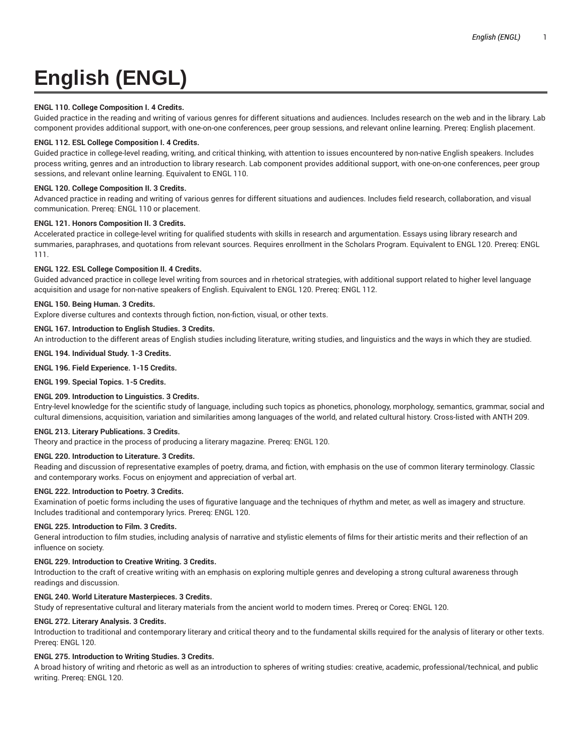# **English (ENGL)**

# **ENGL 110. College Composition I. 4 Credits.**

Guided practice in the reading and writing of various genres for different situations and audiences. Includes research on the web and in the library. Lab component provides additional support, with one-on-one conferences, peer group sessions, and relevant online learning. Prereq: English placement.

# **ENGL 112. ESL College Composition I. 4 Credits.**

Guided practice in college-level reading, writing, and critical thinking, with attention to issues encountered by non-native English speakers. Includes process writing, genres and an introduction to library research. Lab component provides additional support, with one-on-one conferences, peer group sessions, and relevant online learning. Equivalent to ENGL 110.

# **ENGL 120. College Composition II. 3 Credits.**

Advanced practice in reading and writing of various genres for different situations and audiences. Includes field research, collaboration, and visual communication. Prereq: ENGL 110 or placement.

## **ENGL 121. Honors Composition II. 3 Credits.**

Accelerated practice in college-level writing for qualified students with skills in research and argumentation. Essays using library research and summaries, paraphrases, and quotations from relevant sources. Requires enrollment in the Scholars Program. Equivalent to ENGL 120. Prereq: ENGL 111.

# **ENGL 122. ESL College Composition II. 4 Credits.**

Guided advanced practice in college level writing from sources and in rhetorical strategies, with additional support related to higher level language acquisition and usage for non-native speakers of English. Equivalent to ENGL 120. Prereq: ENGL 112.

# **ENGL 150. Being Human. 3 Credits.**

Explore diverse cultures and contexts through fiction, non-fiction, visual, or other texts.

# **ENGL 167. Introduction to English Studies. 3 Credits.**

An introduction to the different areas of English studies including literature, writing studies, and linguistics and the ways in which they are studied.

## **ENGL 194. Individual Study. 1-3 Credits.**

## **ENGL 196. Field Experience. 1-15 Credits.**

**ENGL 199. Special Topics. 1-5 Credits.**

## **ENGL 209. Introduction to Linguistics. 3 Credits.**

Entry-level knowledge for the scientific study of language, including such topics as phonetics, phonology, morphology, semantics, grammar, social and cultural dimensions, acquisition, variation and similarities among languages of the world, and related cultural history. Cross-listed with ANTH 209.

## **ENGL 213. Literary Publications. 3 Credits.**

Theory and practice in the process of producing a literary magazine. Prereq: ENGL 120.

## **ENGL 220. Introduction to Literature. 3 Credits.**

Reading and discussion of representative examples of poetry, drama, and fiction, with emphasis on the use of common literary terminology. Classic and contemporary works. Focus on enjoyment and appreciation of verbal art.

## **ENGL 222. Introduction to Poetry. 3 Credits.**

Examination of poetic forms including the uses of figurative language and the techniques of rhythm and meter, as well as imagery and structure. Includes traditional and contemporary lyrics. Prereq: ENGL 120.

## **ENGL 225. Introduction to Film. 3 Credits.**

General introduction to film studies, including analysis of narrative and stylistic elements of films for their artistic merits and their reflection of an influence on society.

## **ENGL 229. Introduction to Creative Writing. 3 Credits.**

Introduction to the craft of creative writing with an emphasis on exploring multiple genres and developing a strong cultural awareness through readings and discussion.

## **ENGL 240. World Literature Masterpieces. 3 Credits.**

Study of representative cultural and literary materials from the ancient world to modern times. Prereq or Coreq: ENGL 120.

## **ENGL 272. Literary Analysis. 3 Credits.**

Introduction to traditional and contemporary literary and critical theory and to the fundamental skills required for the analysis of literary or other texts. Prereq: ENGL 120.

## **ENGL 275. Introduction to Writing Studies. 3 Credits.**

A broad history of writing and rhetoric as well as an introduction to spheres of writing studies: creative, academic, professional/technical, and public writing. Prereq: ENGL 120.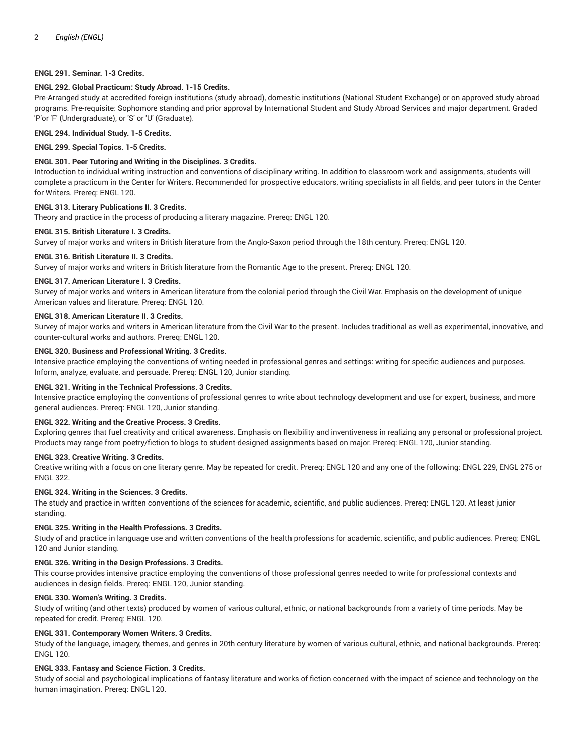# **ENGL 291. Seminar. 1-3 Credits.**

## **ENGL 292. Global Practicum: Study Abroad. 1-15 Credits.**

Pre-Arranged study at accredited foreign institutions (study abroad), domestic institutions (National Student Exchange) or on approved study abroad programs. Pre-requisite: Sophomore standing and prior approval by International Student and Study Abroad Services and major department. Graded 'P'or 'F' (Undergraduate), or 'S' or 'U' (Graduate).

# **ENGL 294. Individual Study. 1-5 Credits.**

**ENGL 299. Special Topics. 1-5 Credits.**

# **ENGL 301. Peer Tutoring and Writing in the Disciplines. 3 Credits.**

Introduction to individual writing instruction and conventions of disciplinary writing. In addition to classroom work and assignments, students will complete a practicum in the Center for Writers. Recommended for prospective educators, writing specialists in all fields, and peer tutors in the Center for Writers. Prereq: ENGL 120.

#### **ENGL 313. Literary Publications II. 3 Credits.**

Theory and practice in the process of producing a literary magazine. Prereq: ENGL 120.

#### **ENGL 315. British Literature I. 3 Credits.**

Survey of major works and writers in British literature from the Anglo-Saxon period through the 18th century. Prereq: ENGL 120.

#### **ENGL 316. British Literature II. 3 Credits.**

Survey of major works and writers in British literature from the Romantic Age to the present. Prereq: ENGL 120.

#### **ENGL 317. American Literature I. 3 Credits.**

Survey of major works and writers in American literature from the colonial period through the Civil War. Emphasis on the development of unique American values and literature. Prereq: ENGL 120.

# **ENGL 318. American Literature II. 3 Credits.**

Survey of major works and writers in American literature from the Civil War to the present. Includes traditional as well as experimental, innovative, and counter-cultural works and authors. Prereq: ENGL 120.

#### **ENGL 320. Business and Professional Writing. 3 Credits.**

Intensive practice employing the conventions of writing needed in professional genres and settings: writing for specific audiences and purposes. Inform, analyze, evaluate, and persuade. Prereq: ENGL 120, Junior standing.

## **ENGL 321. Writing in the Technical Professions. 3 Credits.**

Intensive practice employing the conventions of professional genres to write about technology development and use for expert, business, and more general audiences. Prereq: ENGL 120, Junior standing.

# **ENGL 322. Writing and the Creative Process. 3 Credits.**

Exploring genres that fuel creativity and critical awareness. Emphasis on flexibility and inventiveness in realizing any personal or professional project. Products may range from poetry/fiction to blogs to student-designed assignments based on major. Prereq: ENGL 120, Junior standing.

#### **ENGL 323. Creative Writing. 3 Credits.**

Creative writing with a focus on one literary genre. May be repeated for credit. Prereq: ENGL 120 and any one of the following: ENGL 229, ENGL 275 or ENGL 322.

# **ENGL 324. Writing in the Sciences. 3 Credits.**

The study and practice in written conventions of the sciences for academic, scientific, and public audiences. Prereq: ENGL 120. At least junior standing.

## **ENGL 325. Writing in the Health Professions. 3 Credits.**

Study of and practice in language use and written conventions of the health professions for academic, scientific, and public audiences. Prereq: ENGL 120 and Junior standing.

## **ENGL 326. Writing in the Design Professions. 3 Credits.**

This course provides intensive practice employing the conventions of those professional genres needed to write for professional contexts and audiences in design fields. Prereq: ENGL 120, Junior standing.

## **ENGL 330. Women's Writing. 3 Credits.**

Study of writing (and other texts) produced by women of various cultural, ethnic, or national backgrounds from a variety of time periods. May be repeated for credit. Prereq: ENGL 120.

# **ENGL 331. Contemporary Women Writers. 3 Credits.**

Study of the language, imagery, themes, and genres in 20th century literature by women of various cultural, ethnic, and national backgrounds. Prereq: ENGL 120.

## **ENGL 333. Fantasy and Science Fiction. 3 Credits.**

Study of social and psychological implications of fantasy literature and works of fiction concerned with the impact of science and technology on the human imagination. Prereq: ENGL 120.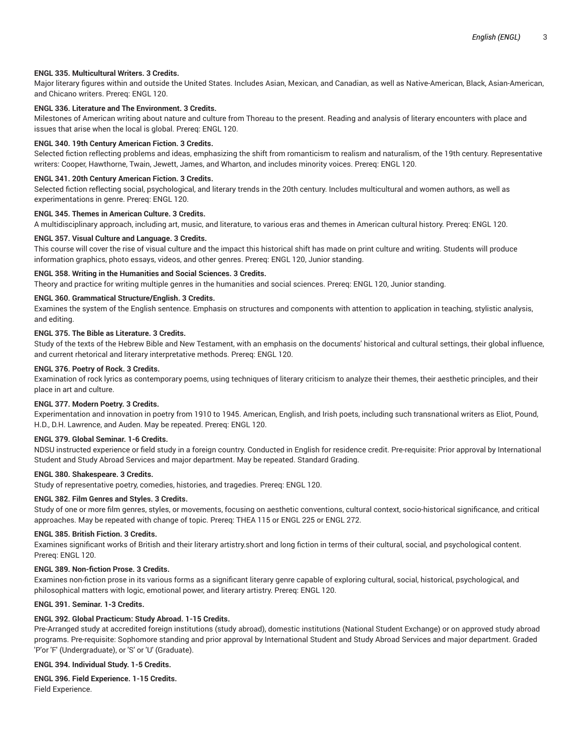# **ENGL 335. Multicultural Writers. 3 Credits.**

Major literary figures within and outside the United States. Includes Asian, Mexican, and Canadian, as well as Native-American, Black, Asian-American, and Chicano writers. Prereq: ENGL 120.

# **ENGL 336. Literature and The Environment. 3 Credits.**

Milestones of American writing about nature and culture from Thoreau to the present. Reading and analysis of literary encounters with place and issues that arise when the local is global. Prereq: ENGL 120.

#### **ENGL 340. 19th Century American Fiction. 3 Credits.**

Selected fiction reflecting problems and ideas, emphasizing the shift from romanticism to realism and naturalism, of the 19th century. Representative writers: Cooper, Hawthorne, Twain, Jewett, James, and Wharton, and includes minority voices. Prereq: ENGL 120.

#### **ENGL 341. 20th Century American Fiction. 3 Credits.**

Selected fiction reflecting social, psychological, and literary trends in the 20th century. Includes multicultural and women authors, as well as experimentations in genre. Prereq: ENGL 120.

#### **ENGL 345. Themes in American Culture. 3 Credits.**

A multidisciplinary approach, including art, music, and literature, to various eras and themes in American cultural history. Prereq: ENGL 120.

#### **ENGL 357. Visual Culture and Language. 3 Credits.**

This course will cover the rise of visual culture and the impact this historical shift has made on print culture and writing. Students will produce information graphics, photo essays, videos, and other genres. Prereq: ENGL 120, Junior standing.

#### **ENGL 358. Writing in the Humanities and Social Sciences. 3 Credits.**

Theory and practice for writing multiple genres in the humanities and social sciences. Prereq: ENGL 120, Junior standing.

# **ENGL 360. Grammatical Structure/English. 3 Credits.**

Examines the system of the English sentence. Emphasis on structures and components with attention to application in teaching, stylistic analysis, and editing.

# **ENGL 375. The Bible as Literature. 3 Credits.**

Study of the texts of the Hebrew Bible and New Testament, with an emphasis on the documents' historical and cultural settings, their global influence, and current rhetorical and literary interpretative methods. Prereq: ENGL 120.

#### **ENGL 376. Poetry of Rock. 3 Credits.**

Examination of rock lyrics as contemporary poems, using techniques of literary criticism to analyze their themes, their aesthetic principles, and their place in art and culture.

#### **ENGL 377. Modern Poetry. 3 Credits.**

Experimentation and innovation in poetry from 1910 to 1945. American, English, and Irish poets, including such transnational writers as Eliot, Pound, H.D., D.H. Lawrence, and Auden. May be repeated. Prereq: ENGL 120.

#### **ENGL 379. Global Seminar. 1-6 Credits.**

NDSU instructed experience or field study in a foreign country. Conducted in English for residence credit. Pre-requisite: Prior approval by International Student and Study Abroad Services and major department. May be repeated. Standard Grading.

## **ENGL 380. Shakespeare. 3 Credits.**

Study of representative poetry, comedies, histories, and tragedies. Prereq: ENGL 120.

#### **ENGL 382. Film Genres and Styles. 3 Credits.**

Study of one or more film genres, styles, or movements, focusing on aesthetic conventions, cultural context, socio-historical significance, and critical approaches. May be repeated with change of topic. Prereq: THEA 115 or ENGL 225 or ENGL 272.

#### **ENGL 385. British Fiction. 3 Credits.**

Examines significant works of British and their literary artistry.short and long fiction in terms of their cultural, social, and psychological content. Prereq: ENGL 120.

#### **ENGL 389. Non-fiction Prose. 3 Credits.**

Examines non-fiction prose in its various forms as a significant literary genre capable of exploring cultural, social, historical, psychological, and philosophical matters with logic, emotional power, and literary artistry. Prereq: ENGL 120.

## **ENGL 391. Seminar. 1-3 Credits.**

## **ENGL 392. Global Practicum: Study Abroad. 1-15 Credits.**

Pre-Arranged study at accredited foreign institutions (study abroad), domestic institutions (National Student Exchange) or on approved study abroad programs. Pre-requisite: Sophomore standing and prior approval by International Student and Study Abroad Services and major department. Graded 'P'or 'F' (Undergraduate), or 'S' or 'U' (Graduate).

## **ENGL 394. Individual Study. 1-5 Credits.**

**ENGL 396. Field Experience. 1-15 Credits.** Field Experience.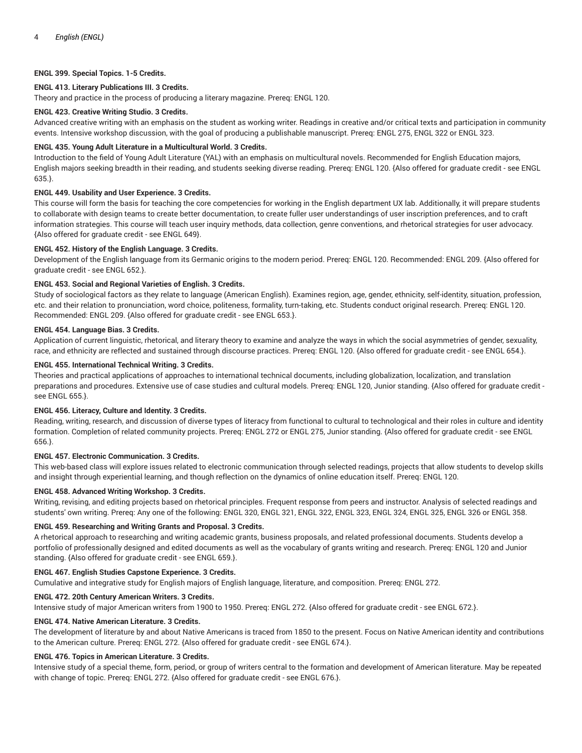# **ENGL 399. Special Topics. 1-5 Credits.**

# **ENGL 413. Literary Publications III. 3 Credits.**

Theory and practice in the process of producing a literary magazine. Prereq: ENGL 120.

## **ENGL 423. Creative Writing Studio. 3 Credits.**

Advanced creative writing with an emphasis on the student as working writer. Readings in creative and/or critical texts and participation in community events. Intensive workshop discussion, with the goal of producing a publishable manuscript. Prereq: ENGL 275, ENGL 322 or ENGL 323.

# **ENGL 435. Young Adult Literature in a Multicultural World. 3 Credits.**

Introduction to the field of Young Adult Literature (YAL) with an emphasis on multicultural novels. Recommended for English Education majors, English majors seeking breadth in their reading, and students seeking diverse reading. Prereq: ENGL 120. {Also offered for graduate credit - see ENGL 635.}.

# **ENGL 449. Usability and User Experience. 3 Credits.**

This course will form the basis for teaching the core competencies for working in the English department UX lab. Additionally, it will prepare students to collaborate with design teams to create better documentation, to create fuller user understandings of user inscription preferences, and to craft information strategies. This course will teach user inquiry methods, data collection, genre conventions, and rhetorical strategies for user advocacy. {Also offered for graduate credit - see ENGL 649}.

## **ENGL 452. History of the English Language. 3 Credits.**

Development of the English language from its Germanic origins to the modern period. Prereq: ENGL 120. Recommended: ENGL 209. {Also offered for graduate credit - see ENGL 652.}.

# **ENGL 453. Social and Regional Varieties of English. 3 Credits.**

Study of sociological factors as they relate to language (American English). Examines region, age, gender, ethnicity, self-identity, situation, profession, etc. and their relation to pronunciation, word choice, politeness, formality, turn-taking, etc. Students conduct original research. Prereq: ENGL 120. Recommended: ENGL 209. {Also offered for graduate credit - see ENGL 653.}.

## **ENGL 454. Language Bias. 3 Credits.**

Application of current linguistic, rhetorical, and literary theory to examine and analyze the ways in which the social asymmetries of gender, sexuality, race, and ethnicity are reflected and sustained through discourse practices. Prereq: ENGL 120. {Also offered for graduate credit - see ENGL 654.}.

# **ENGL 455. International Technical Writing. 3 Credits.**

Theories and practical applications of approaches to international technical documents, including globalization, localization, and translation preparations and procedures. Extensive use of case studies and cultural models. Prereq: ENGL 120, Junior standing. {Also offered for graduate credit see ENGL 655.}.

## **ENGL 456. Literacy, Culture and Identity. 3 Credits.**

Reading, writing, research, and discussion of diverse types of literacy from functional to cultural to technological and their roles in culture and identity formation. Completion of related community projects. Prereq: ENGL 272 or ENGL 275, Junior standing. {Also offered for graduate credit - see ENGL 656.}.

## **ENGL 457. Electronic Communication. 3 Credits.**

This web-based class will explore issues related to electronic communication through selected readings, projects that allow students to develop skills and insight through experiential learning, and though reflection on the dynamics of online education itself. Prereq: ENGL 120.

## **ENGL 458. Advanced Writing Workshop. 3 Credits.**

Writing, revising, and editing projects based on rhetorical principles. Frequent response from peers and instructor. Analysis of selected readings and students' own writing. Prereq: Any one of the following: ENGL 320, ENGL 321, ENGL 322, ENGL 323, ENGL 324, ENGL 325, ENGL 326 or ENGL 358.

## **ENGL 459. Researching and Writing Grants and Proposal. 3 Credits.**

A rhetorical approach to researching and writing academic grants, business proposals, and related professional documents. Students develop a portfolio of professionally designed and edited documents as well as the vocabulary of grants writing and research. Prereq: ENGL 120 and Junior standing. {Also offered for graduate credit - see ENGL 659.}.

## **ENGL 467. English Studies Capstone Experience. 3 Credits.**

Cumulative and integrative study for English majors of English language, literature, and composition. Prereq: ENGL 272.

# **ENGL 472. 20th Century American Writers. 3 Credits.**

Intensive study of major American writers from 1900 to 1950. Prereq: ENGL 272. {Also offered for graduate credit - see ENGL 672.}.

# **ENGL 474. Native American Literature. 3 Credits.**

The development of literature by and about Native Americans is traced from 1850 to the present. Focus on Native American identity and contributions to the American culture. Prereq: ENGL 272. {Also offered for graduate credit - see ENGL 674.}.

## **ENGL 476. Topics in American Literature. 3 Credits.**

Intensive study of a special theme, form, period, or group of writers central to the formation and development of American literature. May be repeated with change of topic. Prereq: ENGL 272. {Also offered for graduate credit - see ENGL 676.}.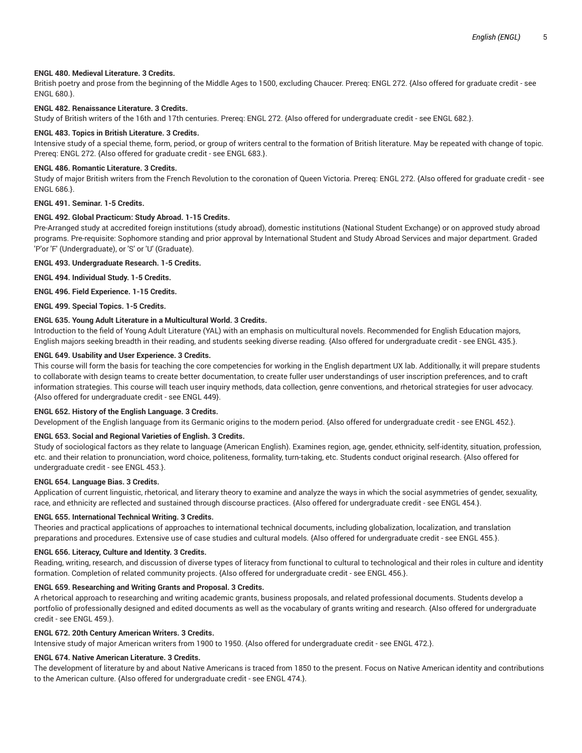# **ENGL 480. Medieval Literature. 3 Credits.**

British poetry and prose from the beginning of the Middle Ages to 1500, excluding Chaucer. Prereq: ENGL 272. {Also offered for graduate credit - see ENGL 680.}.

## **ENGL 482. Renaissance Literature. 3 Credits.**

Study of British writers of the 16th and 17th centuries. Prereq: ENGL 272. {Also offered for undergraduate credit - see ENGL 682.}.

#### **ENGL 483. Topics in British Literature. 3 Credits.**

Intensive study of a special theme, form, period, or group of writers central to the formation of British literature. May be repeated with change of topic. Prereq: ENGL 272. {Also offered for graduate credit - see ENGL 683.}.

#### **ENGL 486. Romantic Literature. 3 Credits.**

Study of major British writers from the French Revolution to the coronation of Queen Victoria. Prereq: ENGL 272. {Also offered for graduate credit - see ENGL 686.}.

## **ENGL 491. Seminar. 1-5 Credits.**

#### **ENGL 492. Global Practicum: Study Abroad. 1-15 Credits.**

Pre-Arranged study at accredited foreign institutions (study abroad), domestic institutions (National Student Exchange) or on approved study abroad programs. Pre-requisite: Sophomore standing and prior approval by International Student and Study Abroad Services and major department. Graded 'P'or 'F' (Undergraduate), or 'S' or 'U' (Graduate).

#### **ENGL 493. Undergraduate Research. 1-5 Credits.**

**ENGL 494. Individual Study. 1-5 Credits.**

**ENGL 496. Field Experience. 1-15 Credits.**

**ENGL 499. Special Topics. 1-5 Credits.**

#### **ENGL 635. Young Adult Literature in a Multicultural World. 3 Credits.**

Introduction to the field of Young Adult Literature (YAL) with an emphasis on multicultural novels. Recommended for English Education majors, English majors seeking breadth in their reading, and students seeking diverse reading. {Also offered for undergraduate credit - see ENGL 435.}.

#### **ENGL 649. Usability and User Experience. 3 Credits.**

This course will form the basis for teaching the core competencies for working in the English department UX lab. Additionally, it will prepare students to collaborate with design teams to create better documentation, to create fuller user understandings of user inscription preferences, and to craft information strategies. This course will teach user inquiry methods, data collection, genre conventions, and rhetorical strategies for user advocacy. {Also offered for undergraduate credit - see ENGL 449}.

#### **ENGL 652. History of the English Language. 3 Credits.**

Development of the English language from its Germanic origins to the modern period. {Also offered for undergraduate credit - see ENGL 452.}.

#### **ENGL 653. Social and Regional Varieties of English. 3 Credits.**

Study of sociological factors as they relate to language (American English). Examines region, age, gender, ethnicity, self-identity, situation, profession, etc. and their relation to pronunciation, word choice, politeness, formality, turn-taking, etc. Students conduct original research. {Also offered for undergraduate credit - see ENGL 453.}.

#### **ENGL 654. Language Bias. 3 Credits.**

Application of current linguistic, rhetorical, and literary theory to examine and analyze the ways in which the social asymmetries of gender, sexuality, race, and ethnicity are reflected and sustained through discourse practices. {Also offered for undergraduate credit - see ENGL 454.}.

# **ENGL 655. International Technical Writing. 3 Credits.**

Theories and practical applications of approaches to international technical documents, including globalization, localization, and translation preparations and procedures. Extensive use of case studies and cultural models. {Also offered for undergraduate credit - see ENGL 455.}.

#### **ENGL 656. Literacy, Culture and Identity. 3 Credits.**

Reading, writing, research, and discussion of diverse types of literacy from functional to cultural to technological and their roles in culture and identity formation. Completion of related community projects. {Also offered for undergraduate credit - see ENGL 456.}.

## **ENGL 659. Researching and Writing Grants and Proposal. 3 Credits.**

A rhetorical approach to researching and writing academic grants, business proposals, and related professional documents. Students develop a portfolio of professionally designed and edited documents as well as the vocabulary of grants writing and research. {Also offered for undergraduate credit - see ENGL 459.}.

# **ENGL 672. 20th Century American Writers. 3 Credits.**

Intensive study of major American writers from 1900 to 1950. {Also offered for undergraduate credit - see ENGL 472.}.

#### **ENGL 674. Native American Literature. 3 Credits.**

The development of literature by and about Native Americans is traced from 1850 to the present. Focus on Native American identity and contributions to the American culture. {Also offered for undergraduate credit - see ENGL 474.}.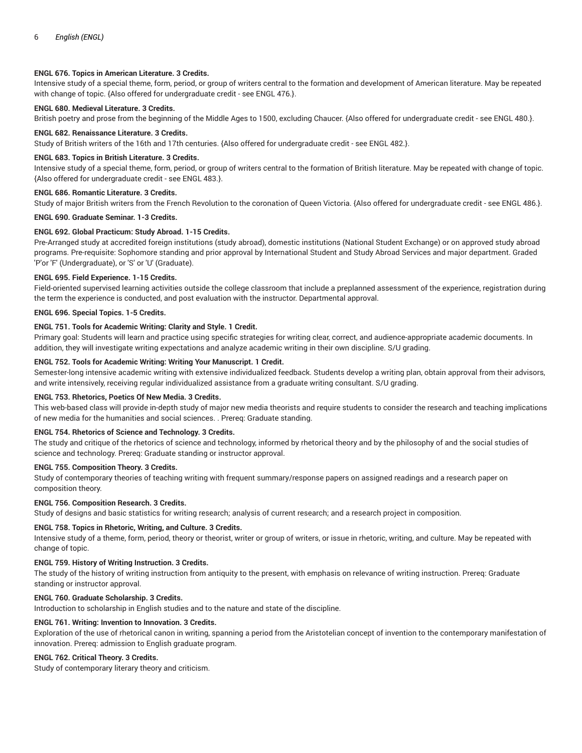## **ENGL 676. Topics in American Literature. 3 Credits.**

Intensive study of a special theme, form, period, or group of writers central to the formation and development of American literature. May be repeated with change of topic. {Also offered for undergraduate credit - see ENGL 476.}.

## **ENGL 680. Medieval Literature. 3 Credits.**

British poetry and prose from the beginning of the Middle Ages to 1500, excluding Chaucer. {Also offered for undergraduate credit - see ENGL 480.}.

#### **ENGL 682. Renaissance Literature. 3 Credits.**

Study of British writers of the 16th and 17th centuries. {Also offered for undergraduate credit - see ENGL 482.}.

## **ENGL 683. Topics in British Literature. 3 Credits.**

Intensive study of a special theme, form, period, or group of writers central to the formation of British literature. May be repeated with change of topic. {Also offered for undergraduate credit - see ENGL 483.}.

#### **ENGL 686. Romantic Literature. 3 Credits.**

Study of major British writers from the French Revolution to the coronation of Queen Victoria. {Also offered for undergraduate credit - see ENGL 486.}.

#### **ENGL 690. Graduate Seminar. 1-3 Credits.**

#### **ENGL 692. Global Practicum: Study Abroad. 1-15 Credits.**

Pre-Arranged study at accredited foreign institutions (study abroad), domestic institutions (National Student Exchange) or on approved study abroad programs. Pre-requisite: Sophomore standing and prior approval by International Student and Study Abroad Services and major department. Graded 'P'or 'F' (Undergraduate), or 'S' or 'U' (Graduate).

#### **ENGL 695. Field Experience. 1-15 Credits.**

Field-oriented supervised learning activities outside the college classroom that include a preplanned assessment of the experience, registration during the term the experience is conducted, and post evaluation with the instructor. Departmental approval.

#### **ENGL 696. Special Topics. 1-5 Credits.**

#### **ENGL 751. Tools for Academic Writing: Clarity and Style. 1 Credit.**

Primary goal: Students will learn and practice using specific strategies for writing clear, correct, and audience-appropriate academic documents. In addition, they will investigate writing expectations and analyze academic writing in their own discipline. S/U grading.

#### **ENGL 752. Tools for Academic Writing: Writing Your Manuscript. 1 Credit.**

Semester-long intensive academic writing with extensive individualized feedback. Students develop a writing plan, obtain approval from their advisors, and write intensively, receiving regular individualized assistance from a graduate writing consultant. S/U grading.

#### **ENGL 753. Rhetorics, Poetics Of New Media. 3 Credits.**

This web-based class will provide in-depth study of major new media theorists and require students to consider the research and teaching implications of new media for the humanities and social sciences. . Prereq: Graduate standing.

#### **ENGL 754. Rhetorics of Science and Technology. 3 Credits.**

The study and critique of the rhetorics of science and technology, informed by rhetorical theory and by the philosophy of and the social studies of science and technology. Prereq: Graduate standing or instructor approval.

#### **ENGL 755. Composition Theory. 3 Credits.**

Study of contemporary theories of teaching writing with frequent summary/response papers on assigned readings and a research paper on composition theory.

#### **ENGL 756. Composition Research. 3 Credits.**

Study of designs and basic statistics for writing research; analysis of current research; and a research project in composition.

# **ENGL 758. Topics in Rhetoric, Writing, and Culture. 3 Credits.**

Intensive study of a theme, form, period, theory or theorist, writer or group of writers, or issue in rhetoric, writing, and culture. May be repeated with change of topic.

#### **ENGL 759. History of Writing Instruction. 3 Credits.**

The study of the history of writing instruction from antiquity to the present, with emphasis on relevance of writing instruction. Prereq: Graduate standing or instructor approval.

#### **ENGL 760. Graduate Scholarship. 3 Credits.**

Introduction to scholarship in English studies and to the nature and state of the discipline.

# **ENGL 761. Writing: Invention to Innovation. 3 Credits.**

Exploration of the use of rhetorical canon in writing, spanning a period from the Aristotelian concept of invention to the contemporary manifestation of innovation. Prereq: admission to English graduate program.

# **ENGL 762. Critical Theory. 3 Credits.**

Study of contemporary literary theory and criticism.